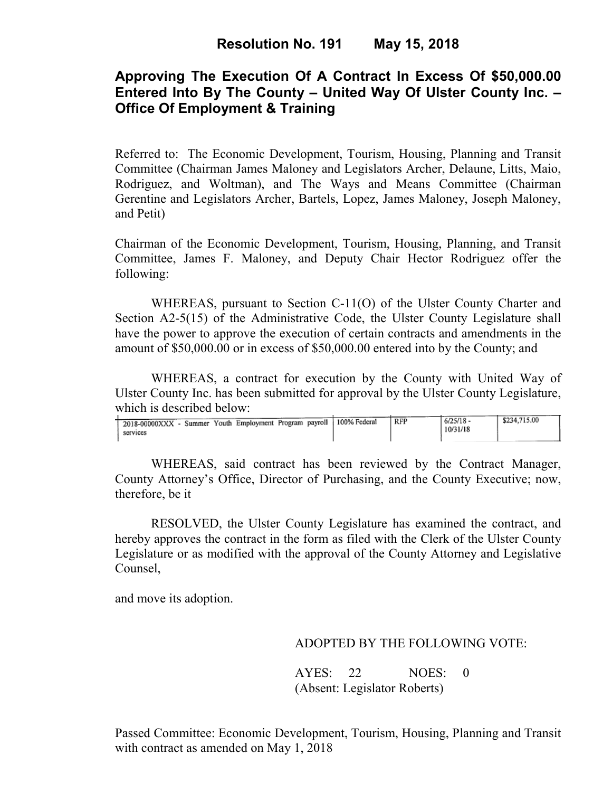# **Approving The Execution Of A Contract In Excess Of \$50,000.00 Entered Into By The County – United Way Of Ulster County Inc. – Office Of Employment & Training**

Referred to: The Economic Development, Tourism, Housing, Planning and Transit Committee (Chairman James Maloney and Legislators Archer, Delaune, Litts, Maio, Rodriguez, and Woltman), and The Ways and Means Committee (Chairman Gerentine and Legislators Archer, Bartels, Lopez, James Maloney, Joseph Maloney, and Petit)

Chairman of the Economic Development, Tourism, Housing, Planning, and Transit Committee, James F. Maloney, and Deputy Chair Hector Rodriguez offer the following:

WHEREAS, pursuant to Section C-11(O) of the Ulster County Charter and Section A2-5(15) of the Administrative Code, the Ulster County Legislature shall have the power to approve the execution of certain contracts and amendments in the amount of \$50,000.00 or in excess of \$50,000.00 entered into by the County; and

 WHEREAS, a contract for execution by the County with United Way of Ulster County Inc. has been submitted for approval by the Ulster County Legislature, which is described below:

| - Summer Youth Employment Program payroll  <br>2018-00000XXX - | 100% Federal | RFP | $6/25/18 -$ | \$234,715.00 |
|----------------------------------------------------------------|--------------|-----|-------------|--------------|
|                                                                |              |     | 10/31/18    |              |
| services                                                       |              |     |             |              |
|                                                                |              |     |             |              |
|                                                                |              |     |             |              |

WHEREAS, said contract has been reviewed by the Contract Manager, County Attorney's Office, Director of Purchasing, and the County Executive; now, therefore, be it

RESOLVED, the Ulster County Legislature has examined the contract, and hereby approves the contract in the form as filed with the Clerk of the Ulster County Legislature or as modified with the approval of the County Attorney and Legislative Counsel,

and move its adoption.

## ADOPTED BY THE FOLLOWING VOTE:

AYES: 22 NOES: 0 (Absent: Legislator Roberts)

Passed Committee: Economic Development, Tourism, Housing, Planning and Transit with contract as amended on May 1, 2018